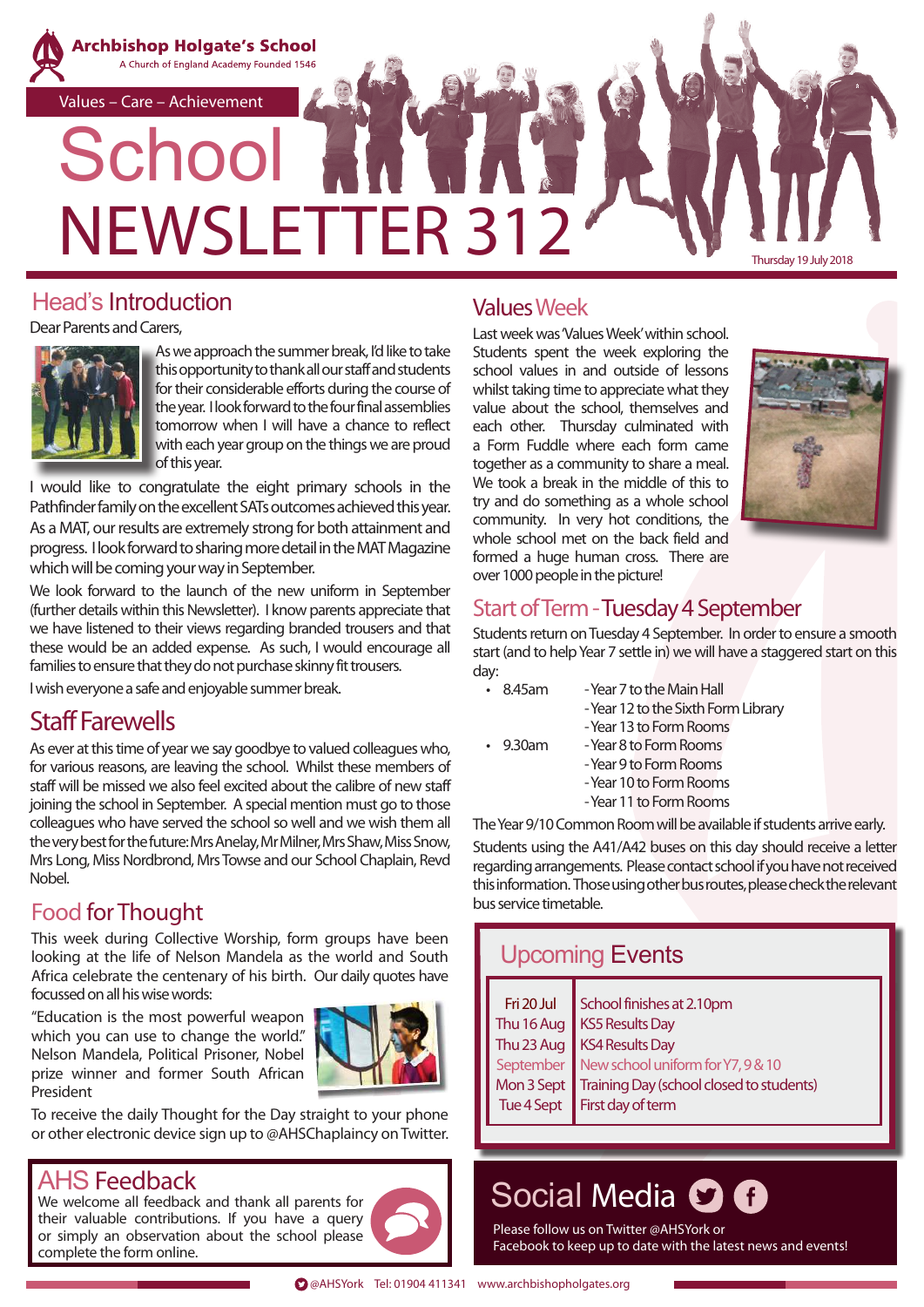

## Head's Introduction

Dear Parents and Carers,



As we approach the summer break, I'd like to take this opportunity to thank all our staff and students for their considerable efforts during the course of the year. I look forward to the four final assemblies tomorrow when I will have a chance to reflect with each year group on the things we are proud of this year.

I would like to congratulate the eight primary schools in the Pathfinder family on the excellent SATs outcomes achieved this year. As a MAT, our results are extremely strong for both attainment and progress. I look forward to sharing more detail in the MAT Magazine which will be coming your way in September.

We look forward to the launch of the new uniform in September (further details within this Newsletter). I know parents appreciate that we have listened to their views regarding branded trousers and that these would be an added expense. As such, I would encourage all families to ensure that they do not purchase skinny fit trousers.

I wish everyone a safe and enjoyable summer break.

## Staff Farewells

As ever at this time of year we say goodbye to valued colleagues who, for various reasons, are leaving the school. Whilst these members of staff will be missed we also feel excited about the calibre of new staff joining the school in September. A special mention must go to those colleagues who have served the school so well and we wish them all the very best for the future: Mrs Anelay, Mr Milner, Mrs Shaw, Miss Snow, Mrs Long, Miss Nordbrond, Mrs Towse and our School Chaplain, Revd Nobel.

## Food for Thought

This week during Collective Worship, form groups have been looking at the life of Nelson Mandela as the world and South Africa celebrate the centenary of his birth. Our daily quotes have focussed on all his wise words:

"Education is the most powerful weapon which you can use to change the world." Nelson Mandela, Political Prisoner, Nobel prize winner and former South African President



To receive the daily Thought for the Day straight to your phone or other electronic device sign up to @AHSChaplaincy on Twitter.

## AHS Feedback

We welcome all feedback and thank all parents for their valuable contributions. If you have a query or simply an observation about the school please complete the form online.



## Values Week

Last week was 'Values Week' within school. Students spent the week exploring the school values in and outside of lessons whilst taking time to appreciate what they value about the school, themselves and each other. Thursday culminated with a Form Fuddle where each form came together as a community to share a meal. We took a break in the middle of this to try and do something as a whole school community. In very hot conditions, the whole school met on the back field and formed a huge human cross. There are over 1000 people in the picture!



## Start of Term - Tuesday 4 September

Students return on Tuesday 4 September. In order to ensure a smooth start (and to help Year 7 settle in) we will have a staggered start on this day:<br>• 8.45am

- Year 7 to the Main Hall
	- Year 12 to the Sixth Form Library - Year 13 to Form Rooms
- 
- 9.30am Year 8 to Form Rooms
	- Year 9 to Form Rooms
	- Year 10 to Form Rooms
	- Year 11 to Form Rooms

The Year 9/10 Common Room will be available if students arrive early.

Students using the A41/A42 buses on this day should receive a letter regarding arrangements. Please contact school if you have not received this information. Those using other bus routes, please check the relevant bus service timetable.

| <b>Upcoming Events</b> |                                          |  |  |
|------------------------|------------------------------------------|--|--|
| Fri 20 Jul             | School finishes at 2.10pm                |  |  |
| Thu 16 Aug             | KS5 Results Day                          |  |  |
| Thu 23 Aug             | <b>KS4 Results Day</b>                   |  |  |
| September              | New school uniform for Y7, 9 & 10        |  |  |
| Mon 3 Sept             | Training Day (school closed to students) |  |  |
| Tue 4 Sept             | First day of term                        |  |  |

# Social Media **O O**

Please follow us on Twitter @AHSYork or Facebook to keep up to date with the latest news and events!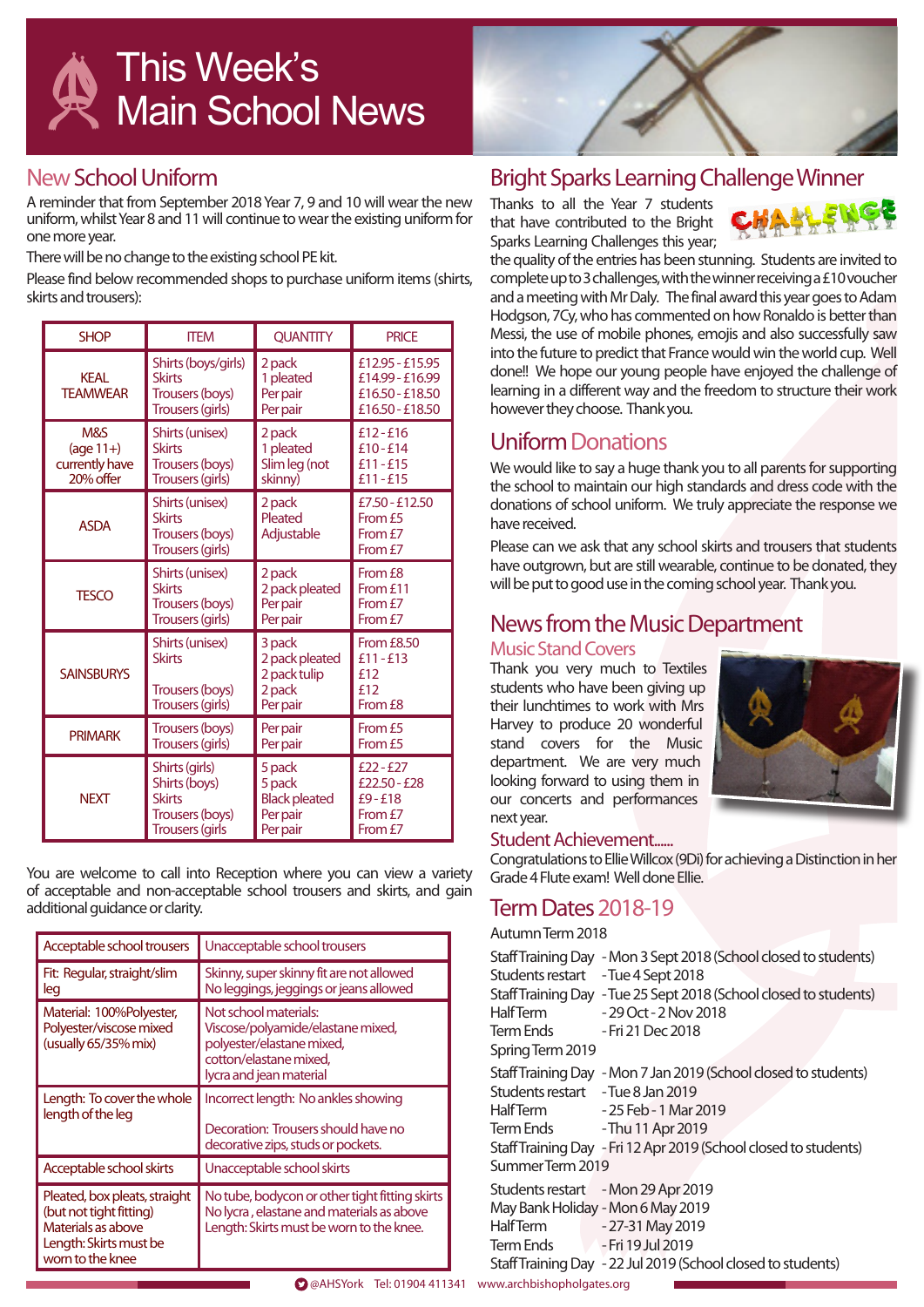## New School Uniform

A reminder that from September 2018 Year 7, 9 and 10 will wear the new uniform, whilst Year 8 and 11 will continue to wear the existing uniform for one more year.

There will be no change to the existing school PE kit.

Please find below recommended shops to purchase uniform items (shirts, skirts and trousers):

| <b>SHOP</b>             | <b>ITEM</b>                                                                 | <b>OUANTITY</b>                                                | <b>PRICE</b>                                                             |
|-------------------------|-----------------------------------------------------------------------------|----------------------------------------------------------------|--------------------------------------------------------------------------|
| KFAI<br><b>TFAMWFAR</b> | Shirts (boys/girls)<br><b>Skirts</b><br>Trousers (boys)<br>Trousers (girls) | 2 pack<br>1 pleated<br>Per pair<br>Per pair                    | £12.95 - £15.95<br>£14.99 - £16.99<br>£16.50 - £18.50<br>£16.50 - £18.50 |
| M&S                     | Shirts (unisex)                                                             | 2 pack                                                         | $£12 - £16$                                                              |
| $(\text{age }11+)$      | <b>Skirts</b>                                                               | 1 pleated                                                      | $£10 - £14$                                                              |
| currently have          | Trousers (boys)                                                             | Slim leg (not                                                  | $£11 - £15$                                                              |
| 20% offer               | Trousers (girls)                                                            | skinny)                                                        | £11-£15                                                                  |
| <b>ASDA</b>             | Shirts (unisex)<br><b>Skirts</b><br>Trousers (boys)<br>Trousers (girls)     | 2 pack<br>Pleated<br>Adjustable                                | £7.50 - £12.50<br>From £5<br>From f7<br>From £7                          |
| <b>TFSCO</b>            | Shirts (unisex)                                                             | 2 pack                                                         | From £8                                                                  |
|                         | <b>Skirts</b>                                                               | 2 pack pleated                                                 | From £11                                                                 |
|                         | Trousers (boys)                                                             | Per pair                                                       | From £7                                                                  |
|                         | Trousers (girls)                                                            | Per pair                                                       | From £7                                                                  |
| <b>SAINSBURYS</b>       | Shirts (unisex)<br><b>Skirts</b><br>Trousers (boys)<br>Trousers (girls)     | 3 pack<br>2 pack pleated<br>2 pack tulip<br>2 pack<br>Per pair | <b>From £8.50</b><br>$f11 - f13$<br>f12<br>£12<br>From £8                |
| <b>PRIMARK</b>          | Trousers (boys)                                                             | Per pair                                                       | From £5                                                                  |
|                         | Trousers (girls)                                                            | Per pair                                                       | From £5                                                                  |
| <b>NFXT</b>             | Shirts (girls)                                                              | 5 pack                                                         | $£22 - £27$                                                              |
|                         | Shirts (boys)                                                               | 5 pack                                                         | £22.50 - £28                                                             |
|                         | <b>Skirts</b>                                                               | <b>Black pleated</b>                                           | £9-£18                                                                   |
|                         | Trousers (boys)                                                             | Per pair                                                       | From £7                                                                  |
|                         | <b>Trousers (girls</b>                                                      | Per pair                                                       | From £7                                                                  |

You are welcome to call into Reception where you can view a variety of acceptable and non-acceptable school trousers and skirts, and gain additional guidance or clarity.

| Acceptable school trousers                                                                                                   | Unacceptable school trousers                                                                                                                 |  |
|------------------------------------------------------------------------------------------------------------------------------|----------------------------------------------------------------------------------------------------------------------------------------------|--|
| Fit: Regular, straight/slim<br>leg                                                                                           | Skinny, super skinny fit are not allowed<br>No leggings, jeggings or jeans allowed                                                           |  |
| Material: 100%Polyester,<br>Polyester/viscose mixed<br>(usually 65/35% mix)                                                  | Not school materials:<br>Viscose/polyamide/elastane mixed,<br>polyester/elastane mixed,<br>cotton/elastane mixed,<br>lycra and jean material |  |
| Length: To cover the whole<br>length of the leg                                                                              | Incorrect length: No ankles showing<br>Decoration: Trousers should have no<br>decorative zips, studs or pockets.                             |  |
| Acceptable school skirts                                                                                                     | Unacceptable school skirts                                                                                                                   |  |
| Pleated, box pleats, straight<br>(but not tight fitting)<br>Materials as above<br>Length: Skirts must be<br>worn to the knee | No tube, bodycon or other tight fitting skirts<br>No lycra, elastane and materials as above<br>Length: Skirts must be worn to the knee.      |  |

## Bright Sparks Learning Challenge Winner

Thanks to all the Year 7 students that have contributed to the Bright Sparks Learning Challenges this year;



the quality of the entries has been stunning. Students are invited to complete up to 3 challenges, with the winner receiving a £10 voucher and a meeting with Mr Daly. The final award this year goes to Adam Hodgson, 7Cy, who has commented on how Ronaldo is better than Messi, the use of mobile phones, emojis and also successfully saw into the future to predict that France would win the world cup. Well done!! We hope our young people have enjoyed the challenge of learning in a different way and the freedom to structure their work however they choose. Thank you.

## Uniform Donations

We would like to say a huge thank you to all parents for supporting the school to maintain our high standards and dress code with the donations of school uniform. We truly appreciate the response we have received.

Please can we ask that any school skirts and trousers that students have outgrown, but are still wearable, continue to be donated, they will be put to good use in the coming school year. Thank you.

## News from the Music Department

Music Stand Covers

Thank you very much to Textiles students who have been giving up their lunchtimes to work with Mrs Harvey to produce 20 wonderful stand covers for the Music department. We are very much looking forward to using them in our concerts and performances next year.



#### Student Achievement......

Congratulations to Ellie Willcox (9Di) for achieving a Distinction in her Grade 4 Flute exam! Well done Ellie.

## **Term Dates 2018-19**

| Autumn Term 2018                               |                                                                   |
|------------------------------------------------|-------------------------------------------------------------------|
| Students restart - Tue 4 Sept 2018             | Staff Training Day - Mon 3 Sept 2018 (School closed to students)  |
|                                                | Staff Training Day - Tue 25 Sept 2018 (School closed to students) |
| <b>HalfTerm</b><br>Term Ends - Fri 21 Dec 2018 | - 29 Oct - 2 Nov 2018                                             |
| Spring Term 2019                               |                                                                   |
|                                                | Staff Training Day - Mon 7 Jan 2019 (School closed to students)   |
| Students restart - Tue 8 Jan 2019              |                                                                   |
| <b>HalfTerm</b>                                | - 25 Feb - 1 Mar 2019                                             |
| Term Ends - Thu 11 Apr 2019                    |                                                                   |
|                                                | Staff Training Day - Fri 12 Apr 2019 (School closed to students)  |
| SummerTerm 2019                                |                                                                   |
|                                                | Students restart - Mon 29 Apr 2019                                |
|                                                | May Bank Holiday - Mon 6 May 2019                                 |
| <b>HalfTerm</b>                                | -27-31 May 2019                                                   |
| Term Ends Terri 19 Jul 2019                    |                                                                   |
|                                                | Staff Training Day - 22 Jul 2019 (School closed to students)      |
|                                                |                                                                   |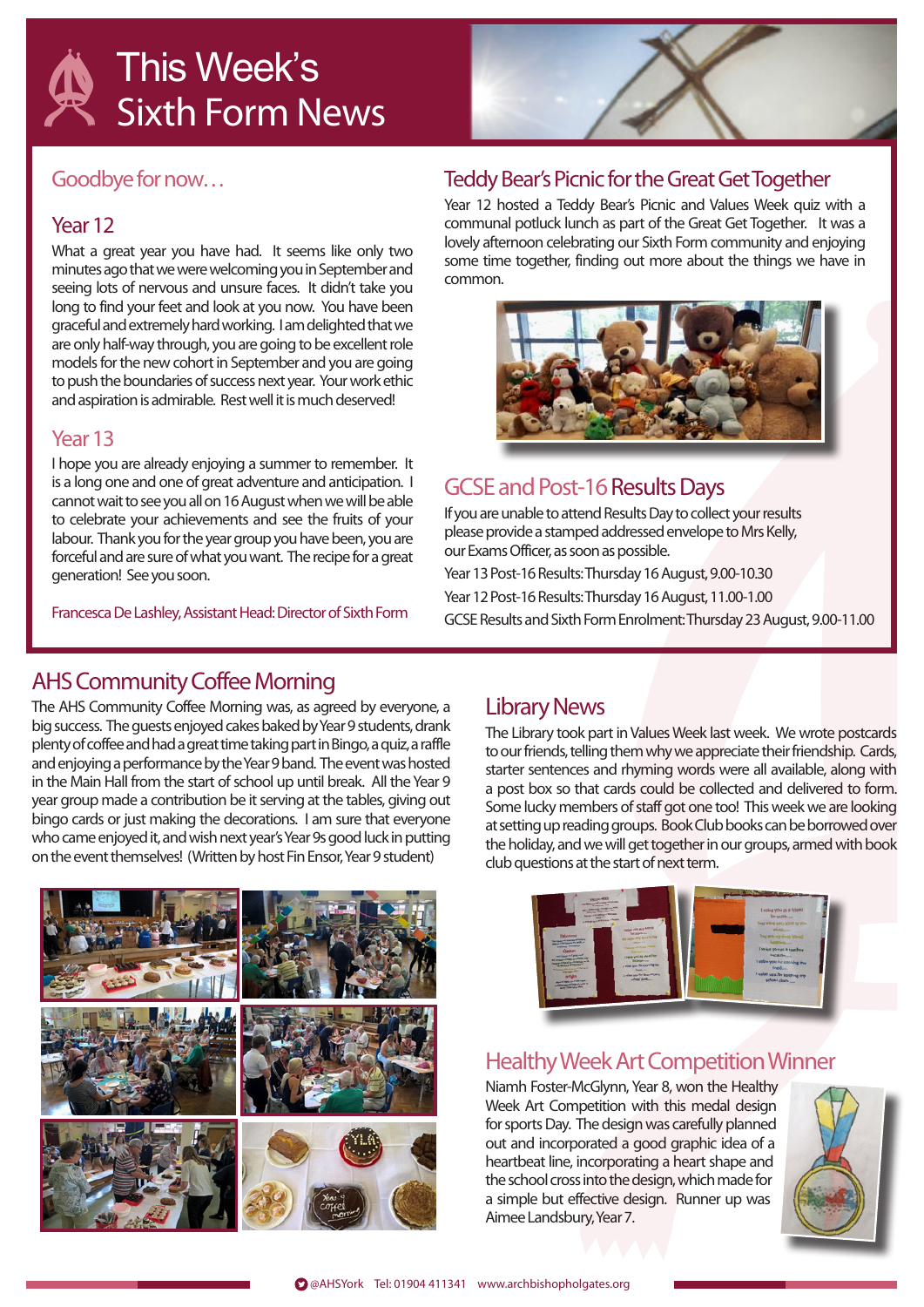# This Week's Sixth Form News



### Goodbye for now…

### Year 12

What a great year you have had. It seems like only two minutes ago that we were welcoming you in September and seeing lots of nervous and unsure faces. It didn't take you long to find your feet and look at you now. You have been graceful and extremely hard working. I am delighted that we are only half-way through, you are going to be excellent role models for the new cohort in September and you are going to push the boundaries of success next year. Your work ethic and aspiration is admirable. Rest well it is much deserved!

#### Year 13

I hope you are already enjoying a summer to remember. It is a long one and one of great adventure and anticipation. I cannot wait to see you all on 16 August when we will be able to celebrate your achievements and see the fruits of your labour. Thank you for the year group you have been, you are forceful and are sure of what you want. The recipe for a great generation! See you soon.

Francesca De Lashley, Assistant Head: Director of Sixth Form

### Teddy Bear's Picnic for the Great Get Together

Year 12 hosted a Teddy Bear's Picnic and Values Week quiz with a communal potluck lunch as part of the Great Get Together. It was a lovely afternoon celebrating our Sixth Form community and enjoying some time together, finding out more about the things we have in common.



## GCSE and Post-16 Results Days

If you are unable to attend Results Day to collect your results please provide a stamped addressed envelope to Mrs Kelly, our Exams Officer, as soon as possible.

Year 13 Post-16 Results: Thursday 16 August, 9.00-10.30 Year 12 Post-16 Results: Thursday 16 August, 11.00-1.00 GCSE Results and Sixth Form Enrolment: Thursday 23 August, 9.00-11.00

## AHS Community Coffee Morning

The AHS Community Coffee Morning was, as agreed by everyone, a big success. The guests enjoyed cakes baked by Year 9 students, drank plenty of coffee and had a great time taking part in Bingo, a quiz, a raffle and enjoying a performance by the Year 9 band. The event was hosted in the Main Hall from the start of school up until break. All the Year 9 year group made a contribution be it serving at the tables, giving out bingo cards or just making the decorations. I am sure that everyone who came enjoyed it, and wish next year's Year 9s good luck in putting on the event themselves! (Written by host Fin Ensor, Year 9 student)



## Library News

The Library took part in Values Week last week. We wrote postcards to our friends, telling them why we appreciate their friendship. Cards, starter sentences and rhyming words were all available, along with a post box so that cards could be collected and delivered to form. Some lucky members of staff got one too! This week we are looking at setting up reading groups. Book Club books can be borrowed over the holiday, and we will get together in our groups, armed with book club questions at the start of next term.



## Healthy Week Art Competition Winner

Niamh Foster-McGlynn, Year 8, won the Healthy Week Art Competition with this medal design for sports Day. The design was carefully planned out and incorporated a good graphic idea of a heartbeat line, incorporating a heart shape and the school cross into the design, which made for a simple but effective design. Runner up was Aimee Landsbury, Year 7.

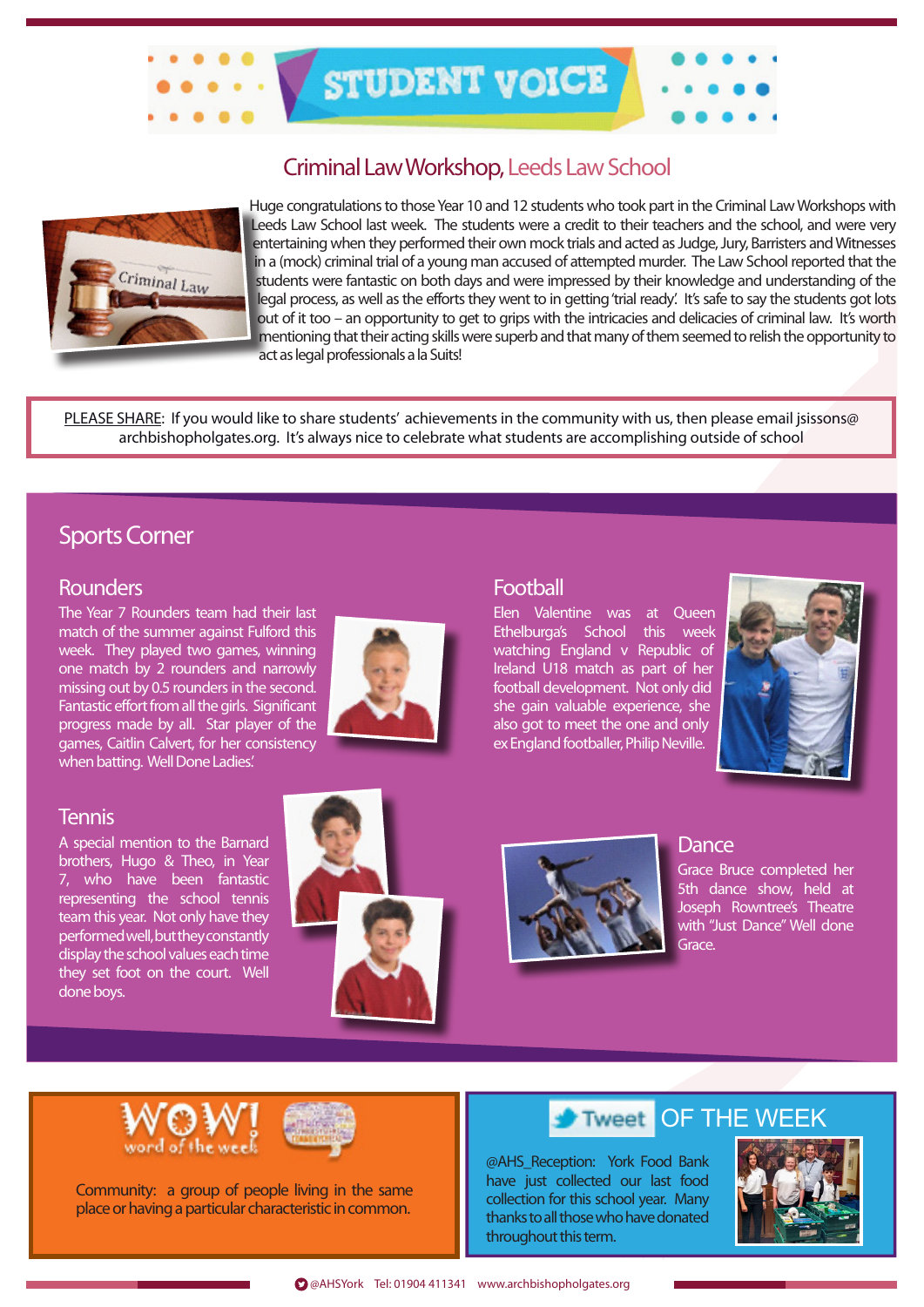

## Criminal Law Workshop, Leeds Law School



Huge congratulations to those Year 10 and 12 students who took part in the Criminal Law Workshops with Leeds Law School last week. The students were a credit to their teachers and the school, and were very entertaining when they performed their own mock trials and acted as Judge, Jury, Barristers and Witnesses in a (mock) criminal trial of a young man accused of attempted murder. The Law School reported that the students were fantastic on both days and were impressed by their knowledge and understanding of the legal process, as well as the efforts they went to in getting 'trial ready'. It's safe to say the students got lots out of it too – an opportunity to get to grips with the intricacies and delicacies of criminal law. It's worth mentioning that their acting skills were superb and that many of them seemed to relish the opportunity to act as legal professionals a la Suits!

PLEASE SHARE: If you would like to share students' achievements in the community with us, then please email jsissons@ archbishopholgates.org. It's always nice to celebrate what students are accomplishing outside of school

## Sports Corner

#### **Rounders**

The Year 7 Rounders team had their last match of the summer against Fulford this week. They played two games, winning one match by 2 rounders and narrowly missing out by 0.5 rounders in the second. Fantastic effort from all the girls. Significant progress made by all. Star player of the games, Caitlin Calvert, for her consistency when batting. Well Done Ladies.'

## **Tennis**

A special mention to the Barnard brothers, Hugo & Theo, in Year 7, who have been fantastic representing the school tennis team this year. Not only have they performed well, but they constantly display the school values each time they set foot on the court. Well done boys.





#### **Football**

Elen Valentine was at Queen Ethelburga's School this week watching England v Republic of Ireland U18 match as part of her football development. Not only did she gain valuable experience, she also got to meet the one and only ex England footballer, Philip Neville.





**Dance** 

Grace Bruce completed her 5th dance show, held at Joseph Rowntree's Theatre with "Just Dance" Well done Grace.





Community: a group of people living in the same place or having a particular characteristic in common.

#### OF THE WEEK **Tweet**

@AHS\_Reception: York Food Bank have just collected our last food collection for this school year. Many thanks to all those who have donated throughout this term.